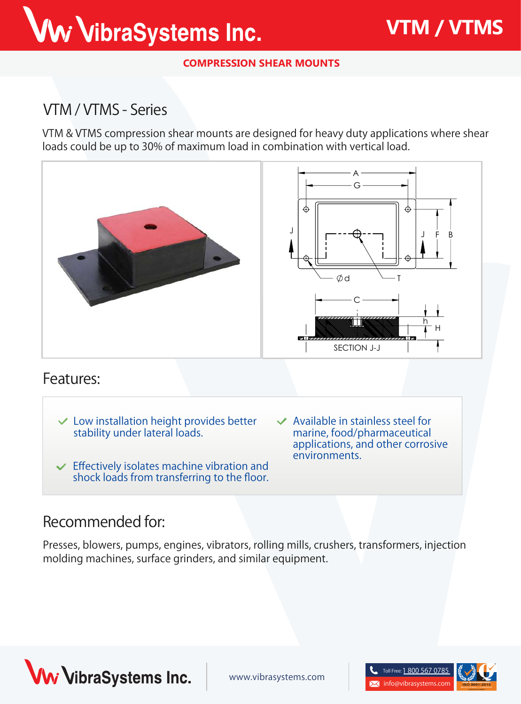# Ww VibraSystems Inc.

**COMPRESSION SHEAR MOUNTS**

## **VTM / VTMS - Series**

**VTM & VTMS** compression shear mounts are designed for heavy duty applications where shear loads could be up to 30% of maximum load in combination with vertical load.



#### **Features:**

- **Low installation height provides better stability under lateral loads.**
- **Effectively isolates machine vibration and shock loads from transferring to the floor.**
- **Available in stainless steel for marine, food/pharmaceutical applications, and other corrosive environments.**

#### **Recommended for:**

Presses, blowers, pumps, engines, vibrators, rolling mills, crushers, transformers, injection molding machines, surface grinders, and similar equipment.